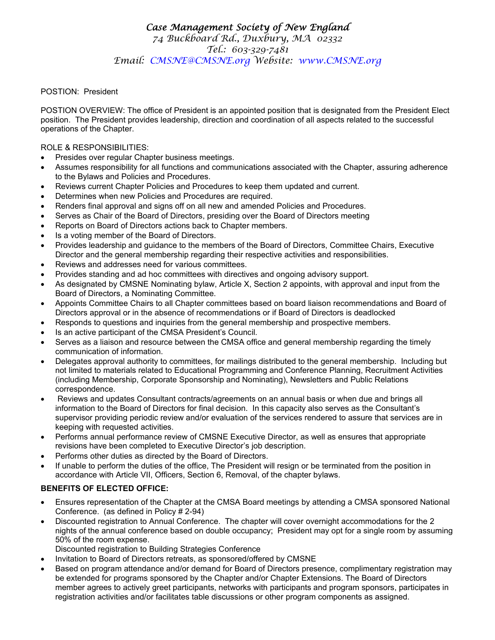## *Case Management Society of New England 74 Buckboard Rd., Duxbury, MA 02332 Tel.: 603-329-7481 Email: CMSNE@CMSNE.org Website: www.CMSNE.org*

## POSTION: President

POSTION OVERVIEW: The office of President is an appointed position that is designated from the President Elect position. The President provides leadership, direction and coordination of all aspects related to the successful operations of the Chapter.

## ROLE & RESPONSIBILITIES:

- Presides over regular Chapter business meetings.
- Assumes responsibility for all functions and communications associated with the Chapter, assuring adherence to the Bylaws and Policies and Procedures.
- Reviews current Chapter Policies and Procedures to keep them updated and current.
- Determines when new Policies and Procedures are required.
- Renders final approval and signs off on all new and amended Policies and Procedures.
- Serves as Chair of the Board of Directors, presiding over the Board of Directors meeting
- Reports on Board of Directors actions back to Chapter members.
- Is a voting member of the Board of Directors.
- Provides leadership and guidance to the members of the Board of Directors, Committee Chairs, Executive Director and the general membership regarding their respective activities and responsibilities.
- Reviews and addresses need for various committees.
- Provides standing and ad hoc committees with directives and ongoing advisory support.
- As designated by CMSNE Nominating bylaw, Article X, Section 2 appoints, with approval and input from the Board of Directors, a Nominating Committee.
- Appoints Committee Chairs to all Chapter committees based on board liaison recommendations and Board of Directors approval or in the absence of recommendations or if Board of Directors is deadlocked
- Responds to questions and inquiries from the general membership and prospective members.
- Is an active participant of the CMSA President's Council.
- Serves as a liaison and resource between the CMSA office and general membership regarding the timely communication of information.
- Delegates approval authority to committees, for mailings distributed to the general membership. Including but not limited to materials related to Educational Programming and Conference Planning, Recruitment Activities (including Membership, Corporate Sponsorship and Nominating), Newsletters and Public Relations correspondence.
- Reviews and updates Consultant contracts/agreements on an annual basis or when due and brings all information to the Board of Directors for final decision. In this capacity also serves as the Consultant's supervisor providing periodic review and/or evaluation of the services rendered to assure that services are in keeping with requested activities.
- Performs annual performance review of CMSNE Executive Director, as well as ensures that appropriate revisions have been completed to Executive Director's job description.
- Performs other duties as directed by the Board of Directors.
- If unable to perform the duties of the office, The President will resign or be terminated from the position in accordance with Article VII, Officers, Section 6, Removal, of the chapter bylaws.

## **BENEFITS OF ELECTED OFFICE:**

- Ensures representation of the Chapter at the CMSA Board meetings by attending a CMSA sponsored National Conference. (as defined in Policy # 2-94)
- Discounted registration to Annual Conference. The chapter will cover overnight accommodations for the 2 nights of the annual conference based on double occupancy; President may opt for a single room by assuming 50% of the room expense.
	- Discounted registration to Building Strategies Conference
- Invitation to Board of Directors retreats, as sponsored/offered by CMSNE
- Based on program attendance and/or demand for Board of Directors presence, complimentary registration may be extended for programs sponsored by the Chapter and/or Chapter Extensions. The Board of Directors member agrees to actively greet participants, networks with participants and program sponsors, participates in registration activities and/or facilitates table discussions or other program components as assigned.